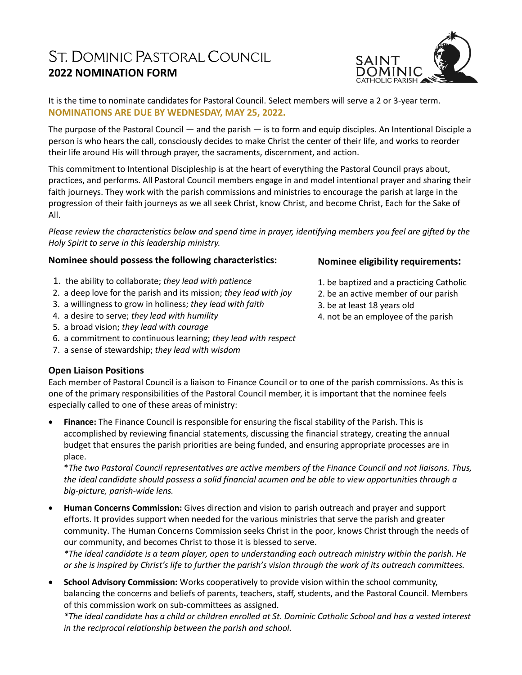# ST. DOMINIC PASTORAL COUNCIL **2022 NOMINATION FORM**

It is the time to nominate candidates for Pastoral Council. Select members will serve a 2 or 3-year term. **NOMINATIONS ARE DUE BY WEDNESDAY, MAY 25, 2022.**

The purpose of the Pastoral Council — and the parish — is to form and equip disciples. An Intentional Disciple a person is who hears the call, consciously decides to make Christ the center of their life, and works to reorder their life around His will through prayer, the sacraments, discernment, and action.

This commitment to Intentional Discipleship is at the heart of everything the Pastoral Council prays about, practices, and performs. All Pastoral Council members engage in and model intentional prayer and sharing their faith journeys. They work with the parish commissions and ministries to encourage the parish at large in the progression of their faith journeys as we all seek Christ, know Christ, and become Christ, Each for the Sake of All.

*Please review the characteristics below and spend time in prayer, identifying members you feel are gifted by the Holy Spirit to serve in this leadership ministry.*

## **Nominee should possess the following characteristics:**

- 1. the ability to collaborate; *they lead with patience*
- 2. a deep love for the parish and its mission; *they lead with joy*
- 3. a willingness to grow in holiness; *they lead with faith*
- 4. a desire to serve; *they lead with humility*
- 5. a broad vision; *they lead with courage*
- 6. a commitment to continuous learning; *they lead with respect*
- 7. a sense of stewardship; *they lead with wisdom*

## **Open Liaison Positions**

Each member of Pastoral Council is a liaison to Finance Council or to one of the parish commissions. As this is one of the primary responsibilities of the Pastoral Council member, it is important that the nominee feels especially called to one of these areas of ministry:

 **Finance:** The Finance Council is responsible for ensuring the fiscal stability of the Parish. This is accomplished by reviewing financial statements, discussing the financial strategy, creating the annual budget that ensures the parish priorities are being funded, and ensuring appropriate processes are in place.

\**The two Pastoral Council representatives are active members of the Finance Council and not liaisons. Thus, the ideal candidate should possess a solid financial acumen and be able to view opportunities through a big-picture, parish-wide lens.*

 **Human Concerns Commission:** Gives direction and vision to parish outreach and prayer and support efforts. It provides support when needed for the various ministries that serve the parish and greater community. The Human Concerns Commission seeks Christ in the poor, knows Christ through the needs of our community, and becomes Christ to those it is blessed to serve.

*\*The ideal candidate is a team player, open to understanding each outreach ministry within the parish. He or she is inspired by Christ's life to further the parish's vision through the work of its outreach committees.*

 **School Advisory Commission:** Works cooperatively to provide vision within the school community, balancing the concerns and beliefs of parents, teachers, staff, students, and the Pastoral Council. Members of this commission work on sub-committees as assigned.

*\*The ideal candidate has a child or children enrolled at St. Dominic Catholic School and has a vested interest in the reciprocal relationship between the parish and school.*

#### **Nominee eligibility requirements:**

- 1. be baptized and a practicing Catholic
- 2. be an active member of our parish
- 3. be at least 18 years old
- 4. not be an employee of the parish